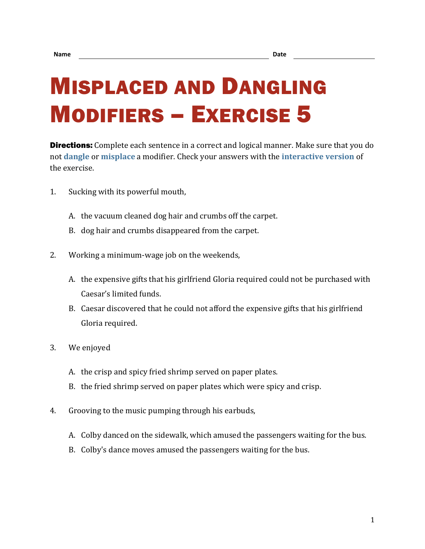## MISPLACED AND DANGLING MODIFIERS – EXERCISE 5

**Directions:** Complete each sentence in a correct and logical manner. Make sure that you do not **[dangle](https://chompchomp.com/terms/danglingmodifier.htm)** or **[misplace](https://chompchomp.com/terms/misplacedmodifier.htm)** a modifier. Check your answers with the **[interactive version](https://chompchomp.com/hotpotatoes/modifiers05a.htm)** of the exercise.

- 1. Sucking with its powerful mouth,
	- A. the vacuum cleaned dog hair and crumbs off the carpet.
	- B. dog hair and crumbs disappeared from the carpet.
- 2. Working a minimum-wage job on the weekends,
	- A. the expensive gifts that his girlfriend Gloria required could not be purchased with Caesar's limited funds.
	- B. Caesar discovered that he could not afford the expensive gifts that his girlfriend Gloria required.
- 3. We enjoyed
	- A. the crisp and spicy fried shrimp served on paper plates.
	- B. the fried shrimp served on paper plates which were spicy and crisp.
- 4. Grooving to the music pumping through his earbuds,
	- A. Colby danced on the sidewalk, which amused the passengers waiting for the bus.
	- B. Colby's dance moves amused the passengers waiting for the bus.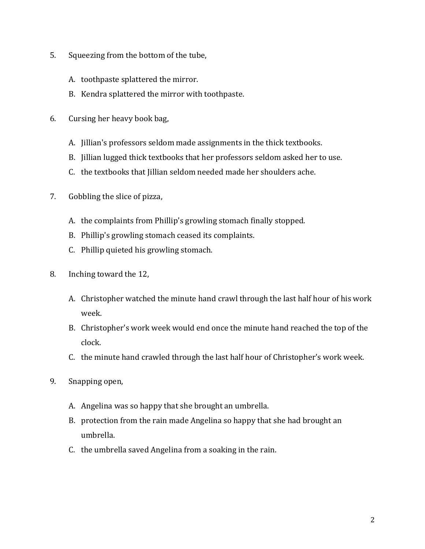- 5. Squeezing from the bottom of the tube,
	- A. toothpaste splattered the mirror.
	- B. Kendra splattered the mirror with toothpaste.
- 6. Cursing her heavy book bag,
	- A. Jillian's professors seldom made assignments in the thick textbooks.
	- B. Jillian lugged thick textbooks that her professors seldom asked her to use.
	- C. the textbooks that Jillian seldom needed made her shoulders ache.
- 7. Gobbling the slice of pizza,
	- A. the complaints from Phillip's growling stomach finally stopped.
	- B. Phillip's growling stomach ceased its complaints.
	- C. Phillip quieted his growling stomach.
- 8. Inching toward the 12,
	- A. Christopher watched the minute hand crawl through the last half hour of his work week.
	- B. Christopher's work week would end once the minute hand reached the top of the clock.
	- C. the minute hand crawled through the last half hour of Christopher's work week.
- 9. Snapping open,
	- A. Angelina was so happy that she brought an umbrella.
	- B. protection from the rain made Angelina so happy that she had brought an umbrella.
	- C. the umbrella saved Angelina from a soaking in the rain.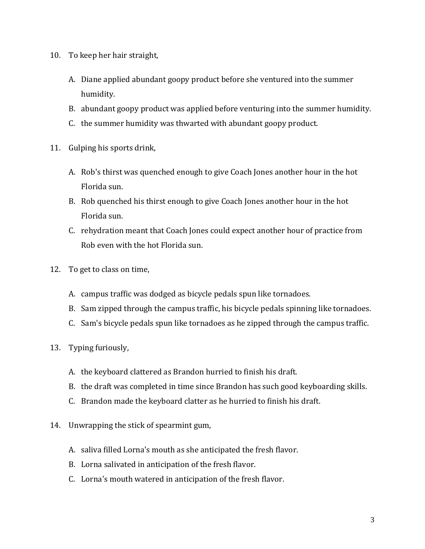- 10. To keep her hair straight,
	- A. Diane applied abundant goopy product before she ventured into the summer humidity.
	- B. abundant goopy product was applied before venturing into the summer humidity.
	- C. the summer humidity was thwarted with abundant goopy product.
- 11. Gulping his sports drink,
	- A. Rob's thirst was quenched enough to give Coach Jones another hour in the hot Florida sun.
	- B. Rob quenched his thirst enough to give Coach Jones another hour in the hot Florida sun.
	- C. rehydration meant that Coach Jones could expect another hour of practice from Rob even with the hot Florida sun.
- 12. To get to class on time,
	- A. campus traffic was dodged as bicycle pedals spun like tornadoes.
	- B. Sam zipped through the campus traffic, his bicycle pedals spinning like tornadoes.
	- C. Sam's bicycle pedals spun like tornadoes as he zipped through the campus traffic.
- 13. Typing furiously,
	- A. the keyboard clattered as Brandon hurried to finish his draft.
	- B. the draft was completed in time since Brandon has such good keyboarding skills.
	- C. Brandon made the keyboard clatter as he hurried to finish his draft.
- 14. Unwrapping the stick of spearmint gum,
	- A. saliva filled Lorna's mouth as she anticipated the fresh flavor.
	- B. Lorna salivated in anticipation of the fresh flavor.
	- C. Lorna's mouth watered in anticipation of the fresh flavor.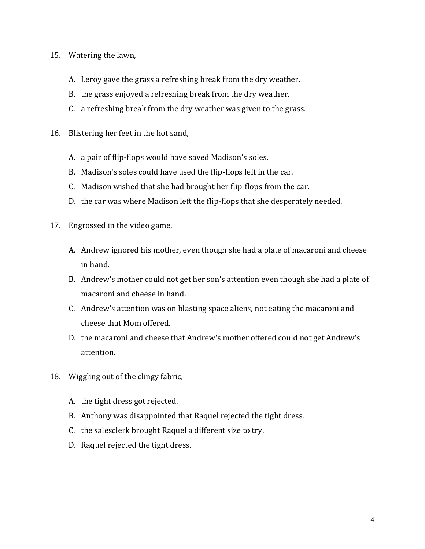## 15. Watering the lawn,

- A. Leroy gave the grass a refreshing break from the dry weather.
- B. the grass enjoyed a refreshing break from the dry weather.
- C. a refreshing break from the dry weather was given to the grass.
- 16. Blistering her feet in the hot sand,
	- A. a pair of flip-flops would have saved Madison's soles.
	- B. Madison's soles could have used the flip-flops left in the car.
	- C. Madison wished that she had brought her flip-flops from the car.
	- D. the car was where Madison left the flip-flops that she desperately needed.
- 17. Engrossed in the video game,
	- A. Andrew ignored his mother, even though she had a plate of macaroni and cheese in hand.
	- B. Andrew's mother could not get her son's attention even though she had a plate of macaroni and cheese in hand.
	- C. Andrew's attention was on blasting space aliens, not eating the macaroni and cheese that Mom offered.
	- D. the macaroni and cheese that Andrew's mother offered could not get Andrew's attention.
- 18. Wiggling out of the clingy fabric,
	- A. the tight dress got rejected.
	- B. Anthony was disappointed that Raquel rejected the tight dress.
	- C. the salesclerk brought Raquel a different size to try.
	- D. Raquel rejected the tight dress.